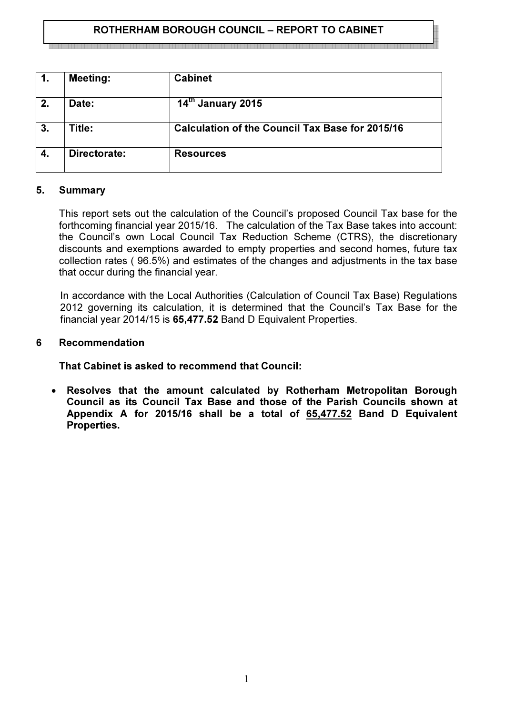# ROTHERHAM BOROUGH COUNCIL – REPORT TO CABINET

1. Meeting: Cabinet 2.  $\Box$  Date: 14<sup>th</sup> January 2015 3. Title: Calculation of the Council Tax Base for 2015/16 4. Directorate: Resources

#### 5. Summary

This report sets out the calculation of the Council's proposed Council Tax base for the forthcoming financial year 2015/16. The calculation of the Tax Base takes into account: the Council's own Local Council Tax Reduction Scheme (CTRS), the discretionary discounts and exemptions awarded to empty properties and second homes, future tax collection rates ( 96.5%) and estimates of the changes and adjustments in the tax base that occur during the financial year.

In accordance with the Local Authorities (Calculation of Council Tax Base) Regulations 2012 governing its calculation, it is determined that the Council's Tax Base for the financial year 2014/15 is 65,477.52 Band D Equivalent Properties.

#### 6 Recommendation

That Cabinet is asked to recommend that Council:

• Resolves that the amount calculated by Rotherham Metropolitan Borough Council as its Council Tax Base and those of the Parish Councils shown at Appendix A for 2015/16 shall be a total of 65,477.52 Band D Equivalent Properties.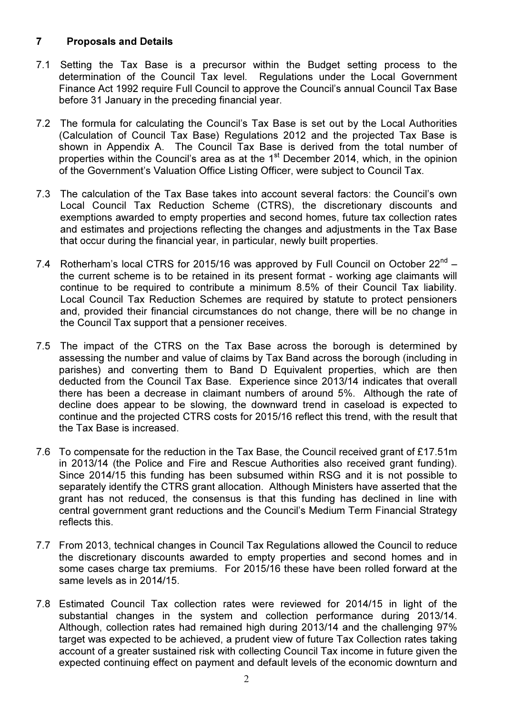## 7 Proposals and Details

- 7.1 Setting the Tax Base is a precursor within the Budget setting process to the determination of the Council Tax level. Regulations under the Local Government Finance Act 1992 require Full Council to approve the Council's annual Council Tax Base before 31 January in the preceding financial year.
- 7.2 The formula for calculating the Council's Tax Base is set out by the Local Authorities (Calculation of Council Tax Base) Regulations 2012 and the projected Tax Base is shown in Appendix A. The Council Tax Base is derived from the total number of properties within the Council's area as at the 1<sup>st</sup> December 2014, which, in the opinion of the Government's Valuation Office Listing Officer, were subject to Council Tax.
- 7.3 The calculation of the Tax Base takes into account several factors: the Council's own Local Council Tax Reduction Scheme (CTRS), the discretionary discounts and exemptions awarded to empty properties and second homes, future tax collection rates and estimates and projections reflecting the changes and adjustments in the Tax Base that occur during the financial year, in particular, newly built properties.
- 7.4 Rotherham's local CTRS for 2015/16 was approved by Full Council on October  $22^{nd}$  the current scheme is to be retained in its present format - working age claimants will continue to be required to contribute a minimum 8.5% of their Council Tax liability. Local Council Tax Reduction Schemes are required by statute to protect pensioners and, provided their financial circumstances do not change, there will be no change in the Council Tax support that a pensioner receives.
- 7.5 The impact of the CTRS on the Tax Base across the borough is determined by assessing the number and value of claims by Tax Band across the borough (including in parishes) and converting them to Band D Equivalent properties, which are then deducted from the Council Tax Base. Experience since 2013/14 indicates that overall there has been a decrease in claimant numbers of around 5%. Although the rate of decline does appear to be slowing, the downward trend in caseload is expected to continue and the projected CTRS costs for 2015/16 reflect this trend, with the result that the Tax Base is increased.
- 7.6 To compensate for the reduction in the Tax Base, the Council received grant of £17.51m in 2013/14 (the Police and Fire and Rescue Authorities also received grant funding). Since 2014/15 this funding has been subsumed within RSG and it is not possible to separately identify the CTRS grant allocation. Although Ministers have asserted that the grant has not reduced, the consensus is that this funding has declined in line with central government grant reductions and the Council's Medium Term Financial Strategy reflects this.
- 7.7 From 2013, technical changes in Council Tax Regulations allowed the Council to reduce the discretionary discounts awarded to empty properties and second homes and in some cases charge tax premiums. For 2015/16 these have been rolled forward at the same levels as in 2014/15.
- 7.8 Estimated Council Tax collection rates were reviewed for 2014/15 in light of the substantial changes in the system and collection performance during 2013/14. Although, collection rates had remained high during 2013/14 and the challenging 97% target was expected to be achieved, a prudent view of future Tax Collection rates taking account of a greater sustained risk with collecting Council Tax income in future given the expected continuing effect on payment and default levels of the economic downturn and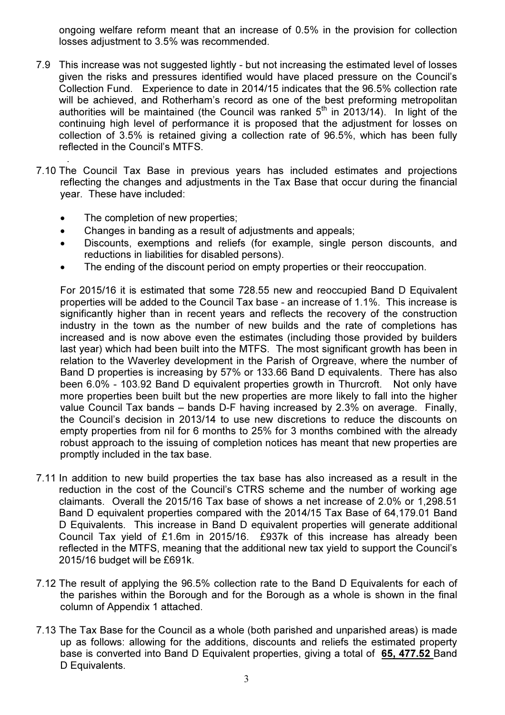ongoing welfare reform meant that an increase of 0.5% in the provision for collection losses adjustment to 3.5% was recommended.

- 7.9 This increase was not suggested lightly but not increasing the estimated level of losses given the risks and pressures identified would have placed pressure on the Council's Collection Fund. Experience to date in 2014/15 indicates that the 96.5% collection rate will be achieved, and Rotherham's record as one of the best preforming metropolitan authorities will be maintained (the Council was ranked  $5<sup>th</sup>$  in 2013/14). In light of the continuing high level of performance it is proposed that the adjustment for losses on collection of 3.5% is retained giving a collection rate of 96.5%, which has been fully reflected in the Council's MTFS.
- . 7.10 The Council Tax Base in previous years has included estimates and projections reflecting the changes and adjustments in the Tax Base that occur during the financial year. These have included:
	- The completion of new properties;
	- Changes in banding as a result of adjustments and appeals;
	- Discounts, exemptions and reliefs (for example, single person discounts, and reductions in liabilities for disabled persons).
	- The ending of the discount period on empty properties or their reoccupation.

For 2015/16 it is estimated that some 728.55 new and reoccupied Band D Equivalent properties will be added to the Council Tax base - an increase of 1.1%. This increase is significantly higher than in recent years and reflects the recovery of the construction industry in the town as the number of new builds and the rate of completions has increased and is now above even the estimates (including those provided by builders last year) which had been built into the MTFS. The most significant growth has been in relation to the Waverley development in the Parish of Orgreave, where the number of Band D properties is increasing by 57% or 133.66 Band D equivalents. There has also been 6.0% - 103.92 Band D equivalent properties growth in Thurcroft. Not only have more properties been built but the new properties are more likely to fall into the higher value Council Tax bands – bands D-F having increased by 2.3% on average. Finally, the Council's decision in 2013/14 to use new discretions to reduce the discounts on empty properties from nil for 6 months to 25% for 3 months combined with the already robust approach to the issuing of completion notices has meant that new properties are promptly included in the tax base.

- 7.11 In addition to new build properties the tax base has also increased as a result in the reduction in the cost of the Council's CTRS scheme and the number of working age claimants. Overall the 2015/16 Tax base of shows a net increase of 2.0% or 1,298.51 Band D equivalent properties compared with the 2014/15 Tax Base of 64,179.01 Band D Equivalents. This increase in Band D equivalent properties will generate additional Council Tax yield of £1.6m in 2015/16. £937k of this increase has already been reflected in the MTFS, meaning that the additional new tax yield to support the Council's 2015/16 budget will be £691k.
- 7.12 The result of applying the 96.5% collection rate to the Band D Equivalents for each of the parishes within the Borough and for the Borough as a whole is shown in the final column of Appendix 1 attached.
- 7.13 The Tax Base for the Council as a whole (both parished and unparished areas) is made up as follows: allowing for the additions, discounts and reliefs the estimated property base is converted into Band D Equivalent properties, giving a total of 65, 477.52 Band D Equivalents.